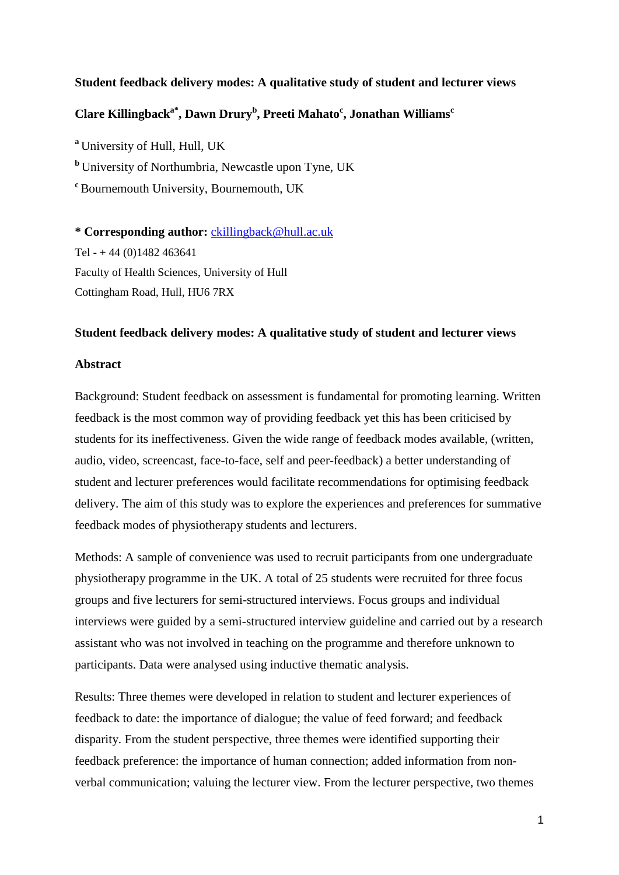## **Student feedback delivery modes: A qualitative study of student and lecturer views**

# **Clare Killingbacka\*, Dawn Druryb , Preeti Mahatoc , Jonathan Williams<sup>c</sup>**

**<sup>a</sup>** University of Hull, Hull, UK **<sup>b</sup>** University of Northumbria, Newcastle upon Tyne, UK **<sup>c</sup>** Bournemouth University, Bournemouth, UK

**\* Corresponding author:** [ckillingback@hull.ac.uk](mailto:ckillingback@hull.ac.uk) Tel - **+** 44 (0)1482 463641 Faculty of Health Sciences, University of Hull Cottingham Road, Hull, HU6 7RX

## **Student feedback delivery modes: A qualitative study of student and lecturer views**

#### **Abstract**

Background: Student feedback on assessment is fundamental for promoting learning. Written feedback is the most common way of providing feedback yet this has been criticised by students for its ineffectiveness. Given the wide range of feedback modes available, (written, audio, video, screencast, face-to-face, self and peer-feedback) a better understanding of student and lecturer preferences would facilitate recommendations for optimising feedback delivery. The aim of this study was to explore the experiences and preferences for summative feedback modes of physiotherapy students and lecturers.

Methods: A sample of convenience was used to recruit participants from one undergraduate physiotherapy programme in the UK. A total of 25 students were recruited for three focus groups and five lecturers for semi-structured interviews. Focus groups and individual interviews were guided by a semi-structured interview guideline and carried out by a research assistant who was not involved in teaching on the programme and therefore unknown to participants. Data were analysed using inductive thematic analysis.

Results: Three themes were developed in relation to student and lecturer experiences of feedback to date: the importance of dialogue; the value of feed forward; and feedback disparity. From the student perspective, three themes were identified supporting their feedback preference: the importance of human connection; added information from nonverbal communication; valuing the lecturer view. From the lecturer perspective, two themes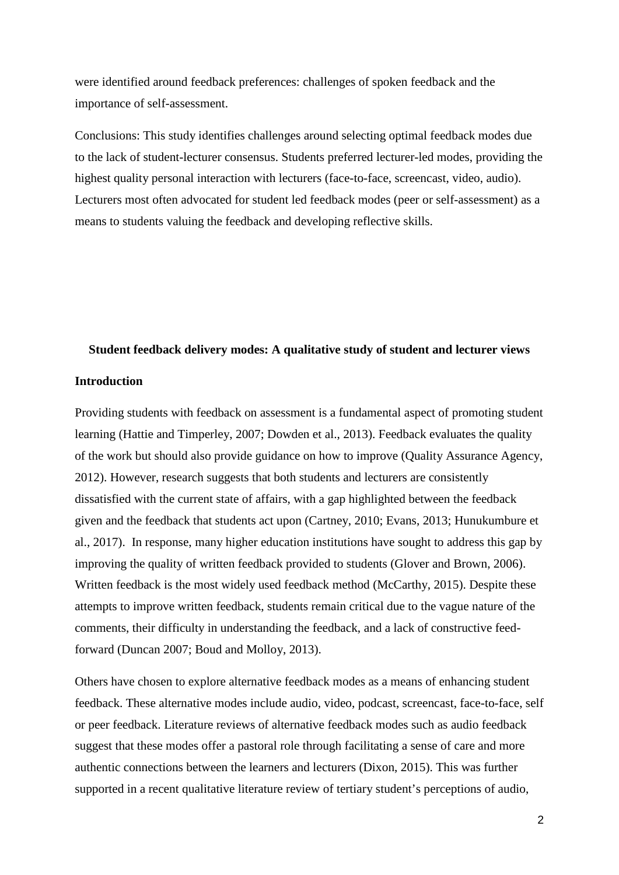were identified around feedback preferences: challenges of spoken feedback and the importance of self-assessment.

Conclusions: This study identifies challenges around selecting optimal feedback modes due to the lack of student-lecturer consensus. Students preferred lecturer-led modes, providing the highest quality personal interaction with lecturers (face-to-face, screencast, video, audio). Lecturers most often advocated for student led feedback modes (peer or self-assessment) as a means to students valuing the feedback and developing reflective skills.

#### **Student feedback delivery modes: A qualitative study of student and lecturer views**

# **Introduction**

Providing students with feedback on assessment is a fundamental aspect of promoting student learning (Hattie and Timperley, 2007; Dowden et al., 2013). Feedback evaluates the quality of the work but should also provide guidance on how to improve (Quality Assurance Agency, 2012). However, research suggests that both students and lecturers are consistently dissatisfied with the current state of affairs, with a gap highlighted between the feedback given and the feedback that students act upon (Cartney, 2010; Evans, 2013; Hunukumbure et al., 2017). In response, many higher education institutions have sought to address this gap by improving the quality of written feedback provided to students (Glover and Brown, 2006). Written feedback is the most widely used feedback method (McCarthy, 2015). Despite these attempts to improve written feedback, students remain critical due to the vague nature of the comments, their difficulty in understanding the feedback, and a lack of constructive feedforward (Duncan 2007; Boud and Molloy, 2013).

Others have chosen to explore alternative feedback modes as a means of enhancing student feedback. These alternative modes include audio, video, podcast, screencast, face-to-face, self or peer feedback. Literature reviews of alternative feedback modes such as audio feedback suggest that these modes offer a pastoral role through facilitating a sense of care and more authentic connections between the learners and lecturers (Dixon, 2015). This was further supported in a recent qualitative literature review of tertiary student's perceptions of audio,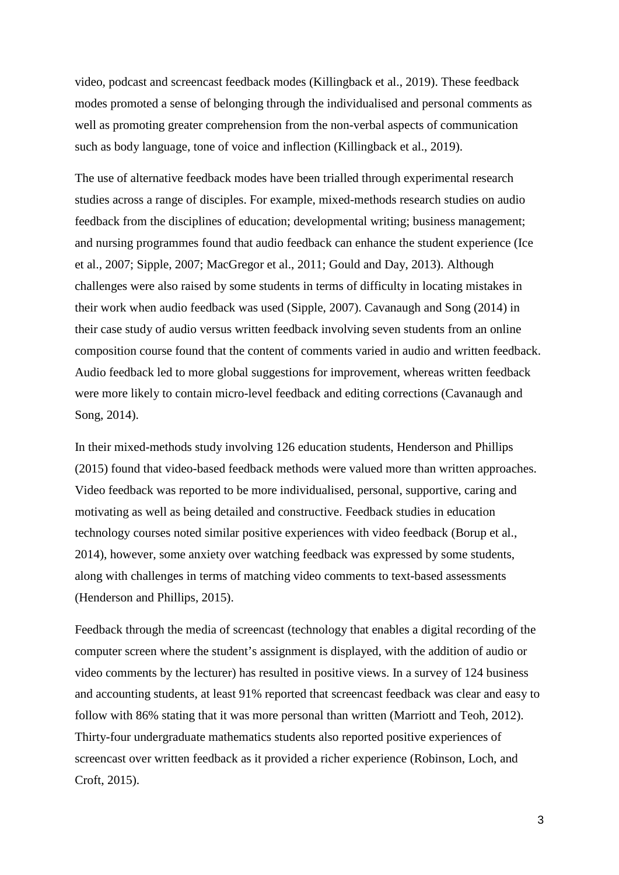video, podcast and screencast feedback modes (Killingback et al., 2019). These feedback modes promoted a sense of belonging through the individualised and personal comments as well as promoting greater comprehension from the non-verbal aspects of communication such as body language, tone of voice and inflection (Killingback et al., 2019).

The use of alternative feedback modes have been trialled through experimental research studies across a range of disciples. For example, mixed-methods research studies on audio feedback from the disciplines of education; developmental writing; business management; and nursing programmes found that audio feedback can enhance the student experience (Ice et al., 2007; Sipple, 2007; MacGregor et al., 2011; Gould and Day, 2013). Although challenges were also raised by some students in terms of difficulty in locating mistakes in their work when audio feedback was used (Sipple, 2007). Cavanaugh and Song (2014) in their case study of audio versus written feedback involving seven students from an online composition course found that the content of comments varied in audio and written feedback. Audio feedback led to more global suggestions for improvement, whereas written feedback were more likely to contain micro-level feedback and editing corrections (Cavanaugh and Song, 2014).

In their mixed-methods study involving 126 education students, Henderson and Phillips (2015) found that video-based feedback methods were valued more than written approaches. Video feedback was reported to be more individualised, personal, supportive, caring and motivating as well as being detailed and constructive. Feedback studies in education technology courses noted similar positive experiences with video feedback (Borup et al., 2014), however, some anxiety over watching feedback was expressed by some students, along with challenges in terms of matching video comments to text-based assessments (Henderson and Phillips, 2015).

Feedback through the media of screencast (technology that enables a digital recording of the computer screen where the student's assignment is displayed, with the addition of audio or video comments by the lecturer) has resulted in positive views. In a survey of 124 business and accounting students, at least 91% reported that screencast feedback was clear and easy to follow with 86% stating that it was more personal than written (Marriott and Teoh, 2012). Thirty-four undergraduate mathematics students also reported positive experiences of screencast over written feedback as it provided a richer experience (Robinson, Loch, and Croft, 2015).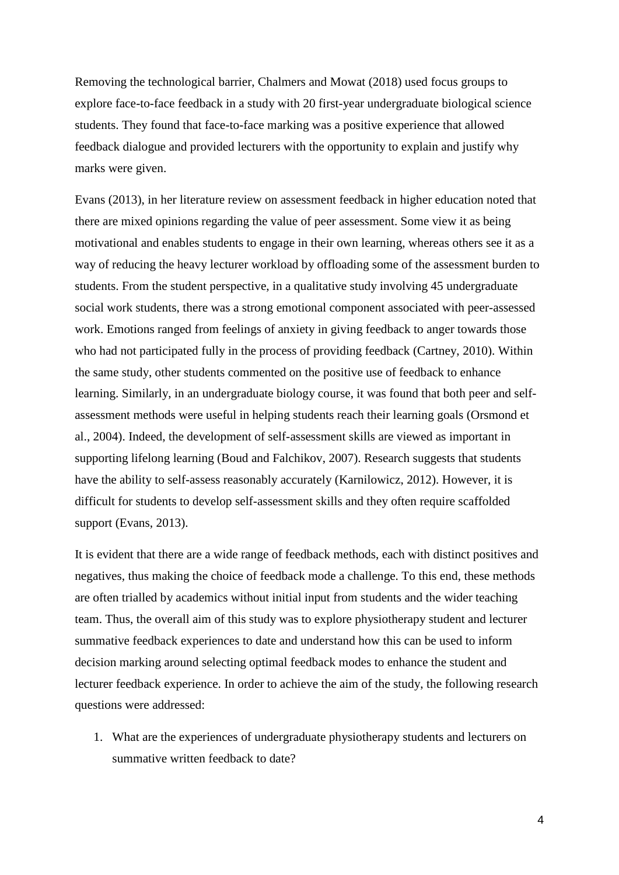Removing the technological barrier, Chalmers and Mowat (2018) used focus groups to explore face-to-face feedback in a study with 20 first-year undergraduate biological science students. They found that face-to-face marking was a positive experience that allowed feedback dialogue and provided lecturers with the opportunity to explain and justify why marks were given.

Evans (2013), in her literature review on assessment feedback in higher education noted that there are mixed opinions regarding the value of peer assessment. Some view it as being motivational and enables students to engage in their own learning, whereas others see it as a way of reducing the heavy lecturer workload by offloading some of the assessment burden to students. From the student perspective, in a qualitative study involving 45 undergraduate social work students, there was a strong emotional component associated with peer-assessed work. Emotions ranged from feelings of anxiety in giving feedback to anger towards those who had not participated fully in the process of providing feedback (Cartney, 2010). Within the same study, other students commented on the positive use of feedback to enhance learning. Similarly, in an undergraduate biology course, it was found that both peer and selfassessment methods were useful in helping students reach their learning goals (Orsmond et al., 2004). Indeed, the development of self-assessment skills are viewed as important in supporting lifelong learning (Boud and Falchikov, 2007). Research suggests that students have the ability to self-assess reasonably accurately (Karnilowicz, 2012). However, it is difficult for students to develop self-assessment skills and they often require scaffolded support (Evans, 2013).

It is evident that there are a wide range of feedback methods, each with distinct positives and negatives, thus making the choice of feedback mode a challenge. To this end, these methods are often trialled by academics without initial input from students and the wider teaching team. Thus, the overall aim of this study was to explore physiotherapy student and lecturer summative feedback experiences to date and understand how this can be used to inform decision marking around selecting optimal feedback modes to enhance the student and lecturer feedback experience. In order to achieve the aim of the study, the following research questions were addressed:

1. What are the experiences of undergraduate physiotherapy students and lecturers on summative written feedback to date?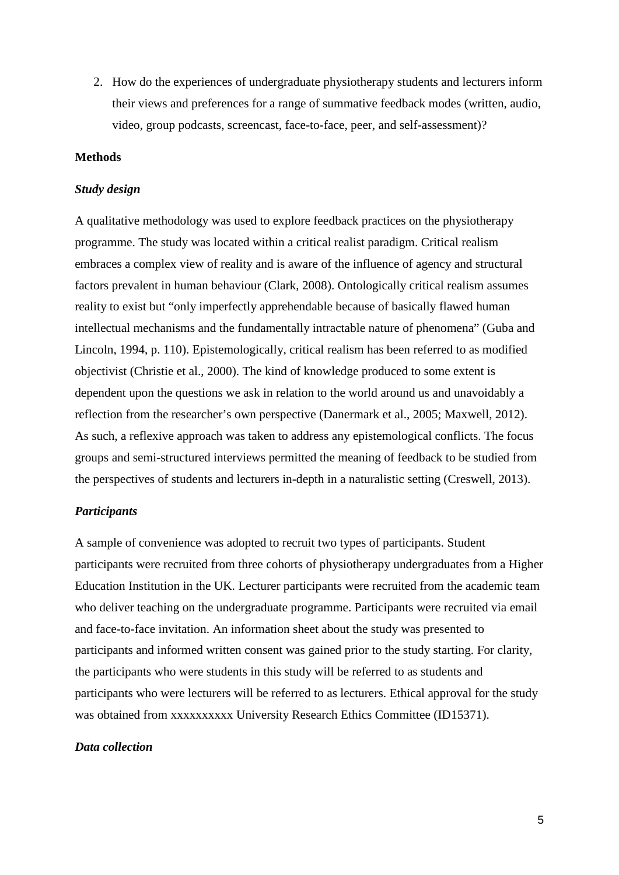2. How do the experiences of undergraduate physiotherapy students and lecturers inform their views and preferences for a range of summative feedback modes (written, audio, video, group podcasts, screencast, face-to-face, peer, and self-assessment)?

## **Methods**

## *Study design*

A qualitative methodology was used to explore feedback practices on the physiotherapy programme. The study was located within a critical realist paradigm. Critical realism embraces a complex view of reality and is aware of the influence of agency and structural factors prevalent in human behaviour (Clark, 2008). Ontologically critical realism assumes reality to exist but "only imperfectly apprehendable because of basically flawed human intellectual mechanisms and the fundamentally intractable nature of phenomena" (Guba and Lincoln, 1994, p. 110). Epistemologically, critical realism has been referred to as modified objectivist (Christie et al., 2000). The kind of knowledge produced to some extent is dependent upon the questions we ask in relation to the world around us and unavoidably a reflection from the researcher's own perspective (Danermark et al., 2005; Maxwell, 2012). As such, a reflexive approach was taken to address any epistemological conflicts. The focus groups and semi-structured interviews permitted the meaning of feedback to be studied from the perspectives of students and lecturers in-depth in a naturalistic setting (Creswell, 2013).

## *Participants*

A sample of convenience was adopted to recruit two types of participants. Student participants were recruited from three cohorts of physiotherapy undergraduates from a Higher Education Institution in the UK. Lecturer participants were recruited from the academic team who deliver teaching on the undergraduate programme. Participants were recruited via email and face-to-face invitation. An information sheet about the study was presented to participants and informed written consent was gained prior to the study starting. For clarity, the participants who were students in this study will be referred to as students and participants who were lecturers will be referred to as lecturers. Ethical approval for the study was obtained from xxxxxxxxxxx University Research Ethics Committee (ID15371).

## *Data collection*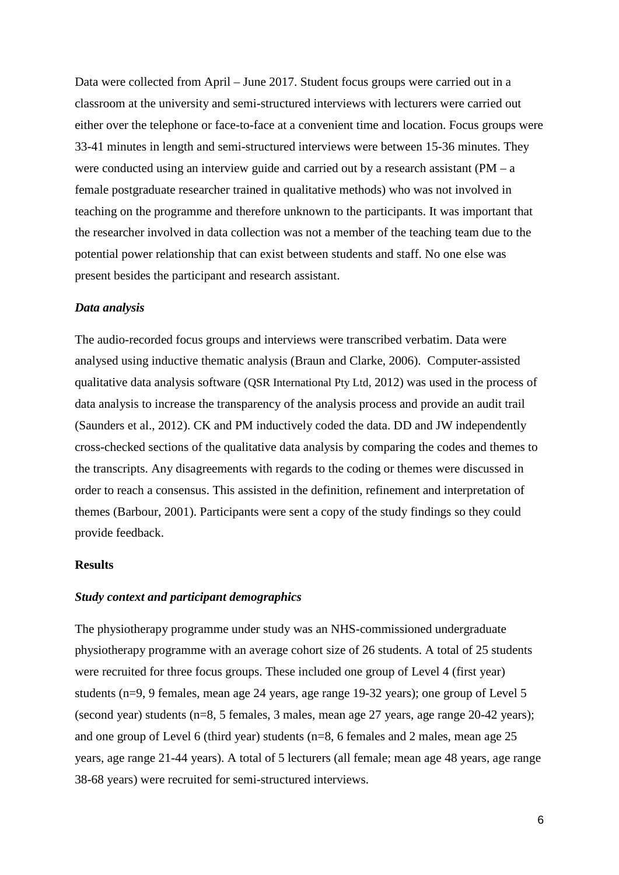Data were collected from April – June 2017. Student focus groups were carried out in a classroom at the university and semi-structured interviews with lecturers were carried out either over the telephone or face-to-face at a convenient time and location. Focus groups were 33-41 minutes in length and semi-structured interviews were between 15-36 minutes. They were conducted using an interview guide and carried out by a research assistant (PM – a female postgraduate researcher trained in qualitative methods) who was not involved in teaching on the programme and therefore unknown to the participants. It was important that the researcher involved in data collection was not a member of the teaching team due to the potential power relationship that can exist between students and staff. No one else was present besides the participant and research assistant.

## *Data analysis*

The audio-recorded focus groups and interviews were transcribed verbatim. Data were analysed using inductive thematic analysis (Braun and Clarke, 2006). Computer-assisted qualitative data analysis software (QSR International Pty Ltd, 2012) was used in the process of data analysis to increase the transparency of the analysis process and provide an audit trail (Saunders et al., 2012). CK and PM inductively coded the data. DD and JW independently cross-checked sections of the qualitative data analysis by comparing the codes and themes to the transcripts. Any disagreements with regards to the coding or themes were discussed in order to reach a consensus. This assisted in the definition, refinement and interpretation of themes (Barbour, 2001). Participants were sent a copy of the study findings so they could provide feedback.

### **Results**

## *Study context and participant demographics*

The physiotherapy programme under study was an NHS-commissioned undergraduate physiotherapy programme with an average cohort size of 26 students. A total of 25 students were recruited for three focus groups. These included one group of Level 4 (first year) students (n=9, 9 females, mean age 24 years, age range 19-32 years); one group of Level 5 (second year) students (n=8, 5 females, 3 males, mean age 27 years, age range 20-42 years); and one group of Level 6 (third year) students (n=8, 6 females and 2 males, mean age 25 years, age range 21-44 years). A total of 5 lecturers (all female; mean age 48 years, age range 38-68 years) were recruited for semi-structured interviews.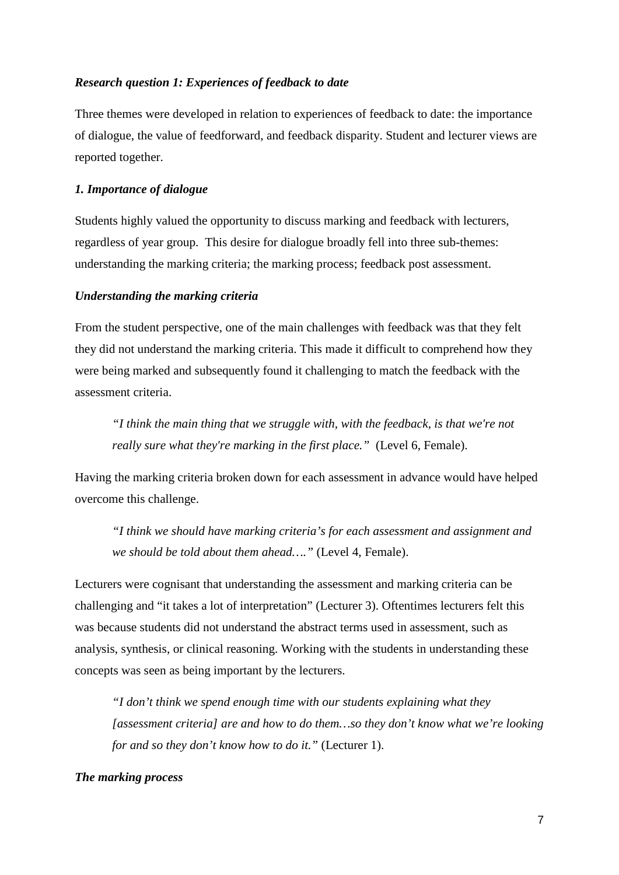# *Research question 1: Experiences of feedback to date*

Three themes were developed in relation to experiences of feedback to date: the importance of dialogue, the value of feedforward, and feedback disparity. Student and lecturer views are reported together.

# *1. Importance of dialogue*

Students highly valued the opportunity to discuss marking and feedback with lecturers, regardless of year group. This desire for dialogue broadly fell into three sub-themes: understanding the marking criteria; the marking process; feedback post assessment.

#### *Understanding the marking criteria*

From the student perspective, one of the main challenges with feedback was that they felt they did not understand the marking criteria. This made it difficult to comprehend how they were being marked and subsequently found it challenging to match the feedback with the assessment criteria.

*"I think the main thing that we struggle with, with the feedback, is that we're not really sure what they're marking in the first place."* (Level 6, Female).

Having the marking criteria broken down for each assessment in advance would have helped overcome this challenge.

*"I think we should have marking criteria's for each assessment and assignment and we should be told about them ahead…."* (Level 4, Female).

Lecturers were cognisant that understanding the assessment and marking criteria can be challenging and "it takes a lot of interpretation" (Lecturer 3). Oftentimes lecturers felt this was because students did not understand the abstract terms used in assessment, such as analysis, synthesis, or clinical reasoning. Working with the students in understanding these concepts was seen as being important by the lecturers.

*"I don't think we spend enough time with our students explaining what they [assessment criteria] are and how to do them…so they don't know what we're looking for and so they don't know how to do it."* (Lecturer 1).

## *The marking process*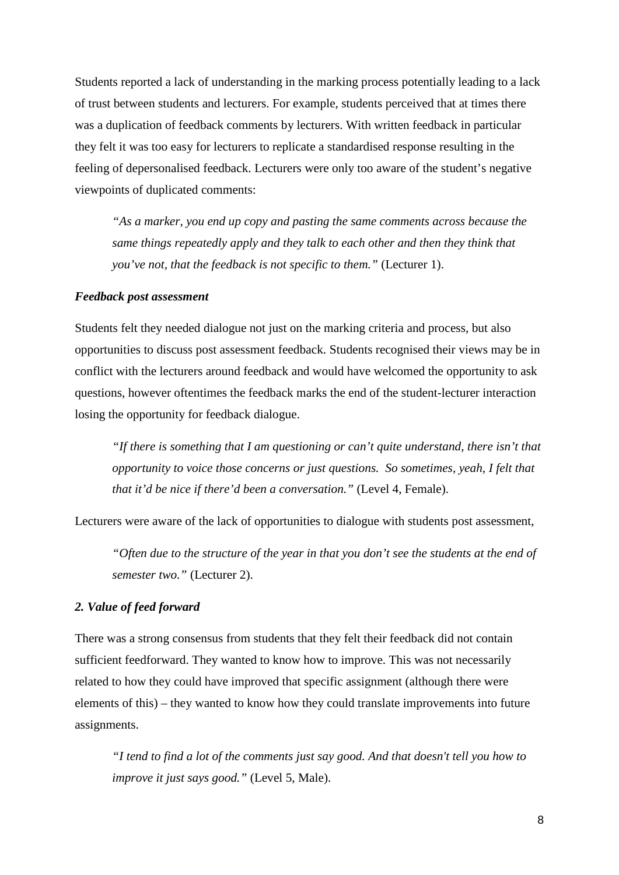Students reported a lack of understanding in the marking process potentially leading to a lack of trust between students and lecturers. For example, students perceived that at times there was a duplication of feedback comments by lecturers. With written feedback in particular they felt it was too easy for lecturers to replicate a standardised response resulting in the feeling of depersonalised feedback. Lecturers were only too aware of the student's negative viewpoints of duplicated comments:

*"As a marker, you end up copy and pasting the same comments across because the same things repeatedly apply and they talk to each other and then they think that you've not, that the feedback is not specific to them."* (Lecturer 1).

# *Feedback post assessment*

Students felt they needed dialogue not just on the marking criteria and process, but also opportunities to discuss post assessment feedback. Students recognised their views may be in conflict with the lecturers around feedback and would have welcomed the opportunity to ask questions, however oftentimes the feedback marks the end of the student-lecturer interaction losing the opportunity for feedback dialogue.

*"If there is something that I am questioning or can't quite understand, there isn't that opportunity to voice those concerns or just questions. So sometimes, yeah, I felt that that it'd be nice if there'd been a conversation."* (Level 4, Female).

Lecturers were aware of the lack of opportunities to dialogue with students post assessment,

*"Often due to the structure of the year in that you don't see the students at the end of semester two."* (Lecturer 2).

### *2. Value of feed forward*

There was a strong consensus from students that they felt their feedback did not contain sufficient feedforward. They wanted to know how to improve. This was not necessarily related to how they could have improved that specific assignment (although there were elements of this) – they wanted to know how they could translate improvements into future assignments.

*"I tend to find a lot of the comments just say good. And that doesn't tell you how to improve it just says good."* (Level 5, Male).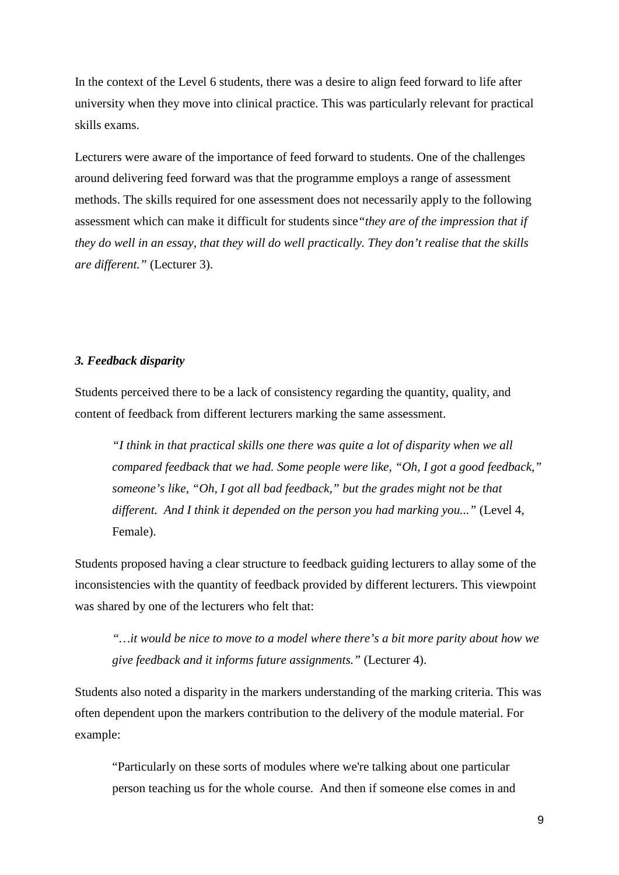In the context of the Level 6 students, there was a desire to align feed forward to life after university when they move into clinical practice. This was particularly relevant for practical skills exams.

Lecturers were aware of the importance of feed forward to students. One of the challenges around delivering feed forward was that the programme employs a range of assessment methods. The skills required for one assessment does not necessarily apply to the following assessment which can make it difficult for students since*"they are of the impression that if they do well in an essay, that they will do well practically. They don't realise that the skills are different."* (Lecturer 3).

## *3. Feedback disparity*

Students perceived there to be a lack of consistency regarding the quantity, quality, and content of feedback from different lecturers marking the same assessment.

*"I think in that practical skills one there was quite a lot of disparity when we all compared feedback that we had. Some people were like, "Oh, I got a good feedback," someone's like, "Oh, I got all bad feedback," but the grades might not be that different. And I think it depended on the person you had marking you..."* (Level 4, Female).

Students proposed having a clear structure to feedback guiding lecturers to allay some of the inconsistencies with the quantity of feedback provided by different lecturers. This viewpoint was shared by one of the lecturers who felt that:

*"…it would be nice to move to a model where there's a bit more parity about how we give feedback and it informs future assignments."* (Lecturer 4).

Students also noted a disparity in the markers understanding of the marking criteria. This was often dependent upon the markers contribution to the delivery of the module material. For example:

"Particularly on these sorts of modules where we're talking about one particular person teaching us for the whole course. And then if someone else comes in and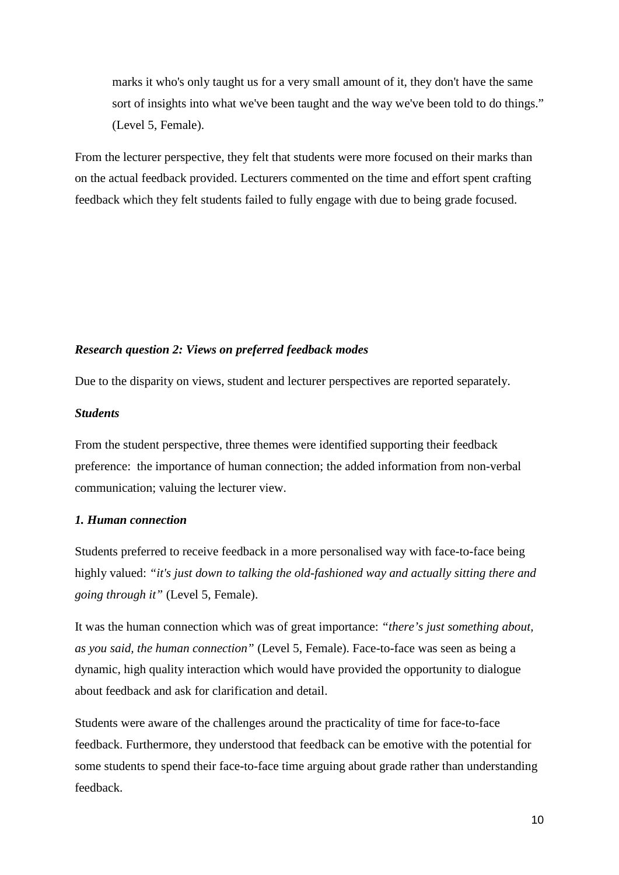marks it who's only taught us for a very small amount of it, they don't have the same sort of insights into what we've been taught and the way we've been told to do things." (Level 5, Female).

From the lecturer perspective, they felt that students were more focused on their marks than on the actual feedback provided. Lecturers commented on the time and effort spent crafting feedback which they felt students failed to fully engage with due to being grade focused.

# *Research question 2: Views on preferred feedback modes*

Due to the disparity on views, student and lecturer perspectives are reported separately.

### *Students*

From the student perspective, three themes were identified supporting their feedback preference: the importance of human connection; the added information from non-verbal communication; valuing the lecturer view.

# *1. Human connection*

Students preferred to receive feedback in a more personalised way with face-to-face being highly valued: *"it's just down to talking the old-fashioned way and actually sitting there and going through it"* (Level 5, Female).

It was the human connection which was of great importance: *"there's just something about, as you said, the human connection"* (Level 5, Female). Face-to-face was seen as being a dynamic, high quality interaction which would have provided the opportunity to dialogue about feedback and ask for clarification and detail.

Students were aware of the challenges around the practicality of time for face-to-face feedback. Furthermore, they understood that feedback can be emotive with the potential for some students to spend their face-to-face time arguing about grade rather than understanding feedback.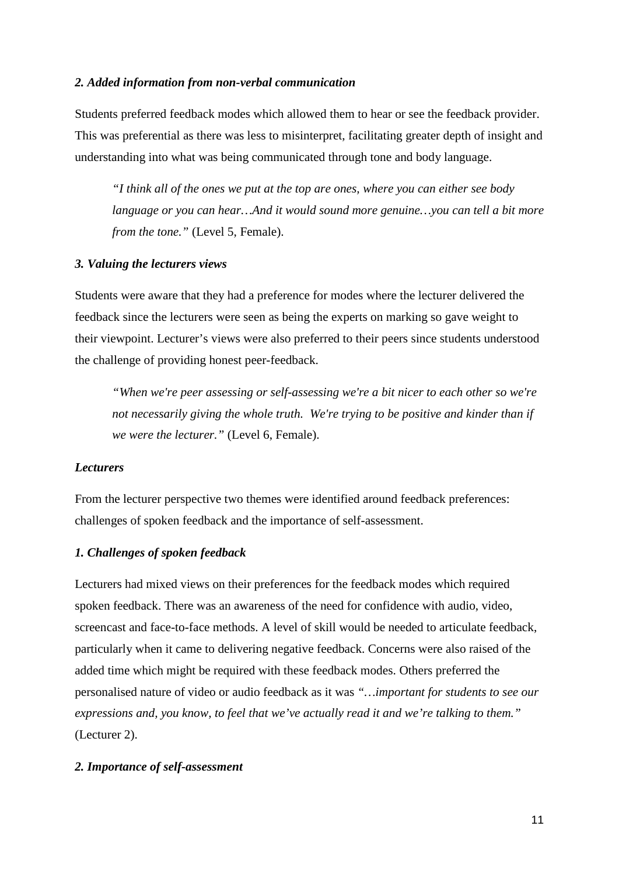### *2. Added information from non-verbal communication*

Students preferred feedback modes which allowed them to hear or see the feedback provider. This was preferential as there was less to misinterpret, facilitating greater depth of insight and understanding into what was being communicated through tone and body language.

*"I think all of the ones we put at the top are ones, where you can either see body language or you can hear…And it would sound more genuine…you can tell a bit more from the tone."* (Level 5, Female).

### *3. Valuing the lecturers views*

Students were aware that they had a preference for modes where the lecturer delivered the feedback since the lecturers were seen as being the experts on marking so gave weight to their viewpoint. Lecturer's views were also preferred to their peers since students understood the challenge of providing honest peer-feedback.

*"When we're peer assessing or self-assessing we're a bit nicer to each other so we're not necessarily giving the whole truth. We're trying to be positive and kinder than if we were the lecturer."* (Level 6, Female).

## *Lecturers*

From the lecturer perspective two themes were identified around feedback preferences: challenges of spoken feedback and the importance of self-assessment.

## *1. Challenges of spoken feedback*

Lecturers had mixed views on their preferences for the feedback modes which required spoken feedback. There was an awareness of the need for confidence with audio, video, screencast and face-to-face methods. A level of skill would be needed to articulate feedback, particularly when it came to delivering negative feedback. Concerns were also raised of the added time which might be required with these feedback modes. Others preferred the personalised nature of video or audio feedback as it was *"…important for students to see our expressions and, you know, to feel that we've actually read it and we're talking to them."* (Lecturer 2).

## *2. Importance of self-assessment*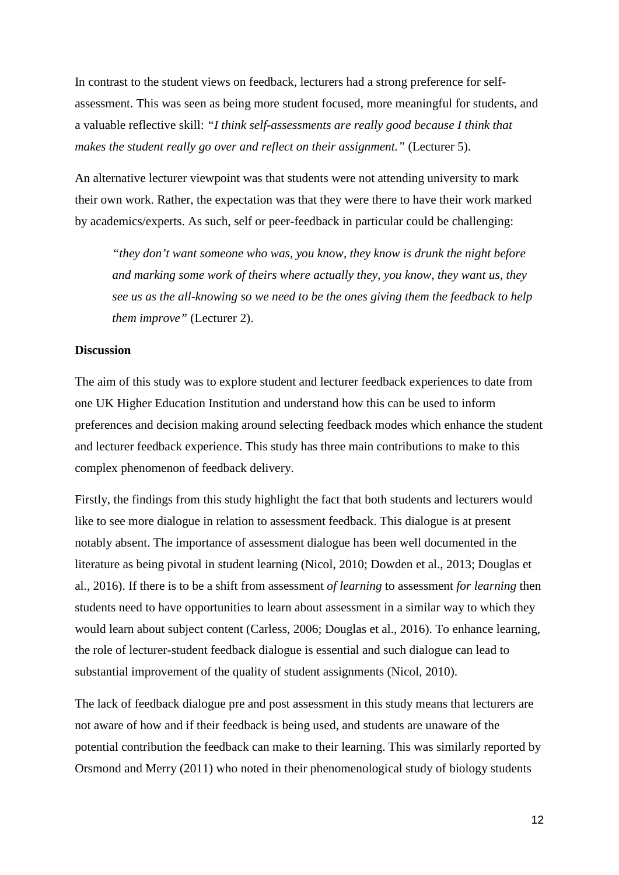In contrast to the student views on feedback, lecturers had a strong preference for selfassessment. This was seen as being more student focused, more meaningful for students, and a valuable reflective skill: *"I think self-assessments are really good because I think that makes the student really go over and reflect on their assignment."* (Lecturer 5).

An alternative lecturer viewpoint was that students were not attending university to mark their own work. Rather, the expectation was that they were there to have their work marked by academics/experts. As such, self or peer-feedback in particular could be challenging:

*"they don't want someone who was, you know, they know is drunk the night before and marking some work of theirs where actually they, you know, they want us, they see us as the all-knowing so we need to be the ones giving them the feedback to help them improve"* (Lecturer 2).

# **Discussion**

The aim of this study was to explore student and lecturer feedback experiences to date from one UK Higher Education Institution and understand how this can be used to inform preferences and decision making around selecting feedback modes which enhance the student and lecturer feedback experience. This study has three main contributions to make to this complex phenomenon of feedback delivery.

Firstly, the findings from this study highlight the fact that both students and lecturers would like to see more dialogue in relation to assessment feedback. This dialogue is at present notably absent. The importance of assessment dialogue has been well documented in the literature as being pivotal in student learning (Nicol, 2010; Dowden et al., 2013; Douglas et al., 2016). If there is to be a shift from assessment *of learning* to assessment *for learning* then students need to have opportunities to learn about assessment in a similar way to which they would learn about subject content (Carless, 2006; Douglas et al., 2016). To enhance learning, the role of lecturer-student feedback dialogue is essential and such dialogue can lead to substantial improvement of the quality of student assignments (Nicol, 2010).

The lack of feedback dialogue pre and post assessment in this study means that lecturers are not aware of how and if their feedback is being used, and students are unaware of the potential contribution the feedback can make to their learning. This was similarly reported by Orsmond and Merry (2011) who noted in their phenomenological study of biology students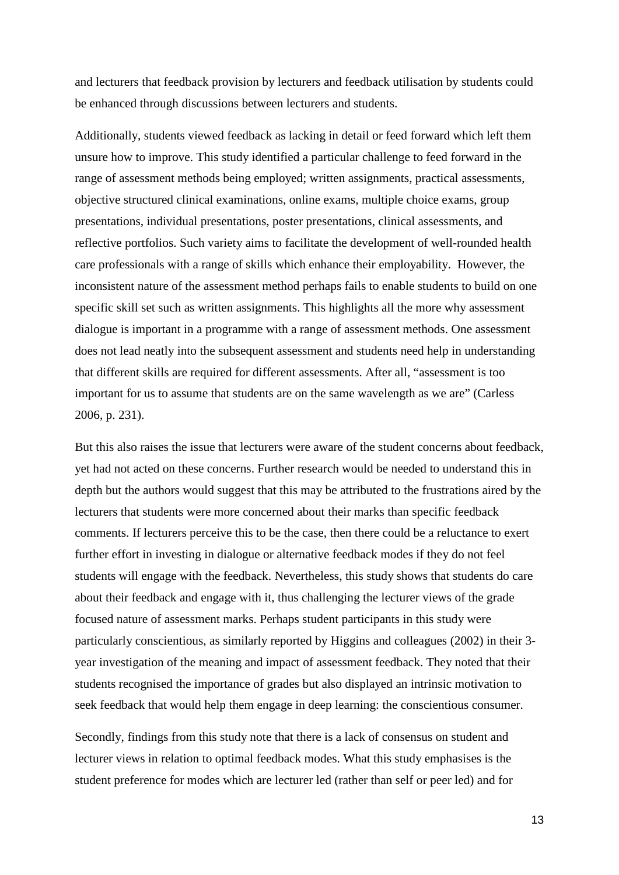and lecturers that feedback provision by lecturers and feedback utilisation by students could be enhanced through discussions between lecturers and students.

Additionally, students viewed feedback as lacking in detail or feed forward which left them unsure how to improve. This study identified a particular challenge to feed forward in the range of assessment methods being employed; written assignments, practical assessments, objective structured clinical examinations, online exams, multiple choice exams, group presentations, individual presentations, poster presentations, clinical assessments, and reflective portfolios. Such variety aims to facilitate the development of well-rounded health care professionals with a range of skills which enhance their employability. However, the inconsistent nature of the assessment method perhaps fails to enable students to build on one specific skill set such as written assignments. This highlights all the more why assessment dialogue is important in a programme with a range of assessment methods. One assessment does not lead neatly into the subsequent assessment and students need help in understanding that different skills are required for different assessments. After all, "assessment is too important for us to assume that students are on the same wavelength as we are" (Carless 2006, p. 231).

But this also raises the issue that lecturers were aware of the student concerns about feedback, yet had not acted on these concerns. Further research would be needed to understand this in depth but the authors would suggest that this may be attributed to the frustrations aired by the lecturers that students were more concerned about their marks than specific feedback comments. If lecturers perceive this to be the case, then there could be a reluctance to exert further effort in investing in dialogue or alternative feedback modes if they do not feel students will engage with the feedback. Nevertheless, this study shows that students do care about their feedback and engage with it, thus challenging the lecturer views of the grade focused nature of assessment marks. Perhaps student participants in this study were particularly conscientious, as similarly reported by Higgins and colleagues (2002) in their 3 year investigation of the meaning and impact of assessment feedback. They noted that their students recognised the importance of grades but also displayed an intrinsic motivation to seek feedback that would help them engage in deep learning: the conscientious consumer.

Secondly, findings from this study note that there is a lack of consensus on student and lecturer views in relation to optimal feedback modes. What this study emphasises is the student preference for modes which are lecturer led (rather than self or peer led) and for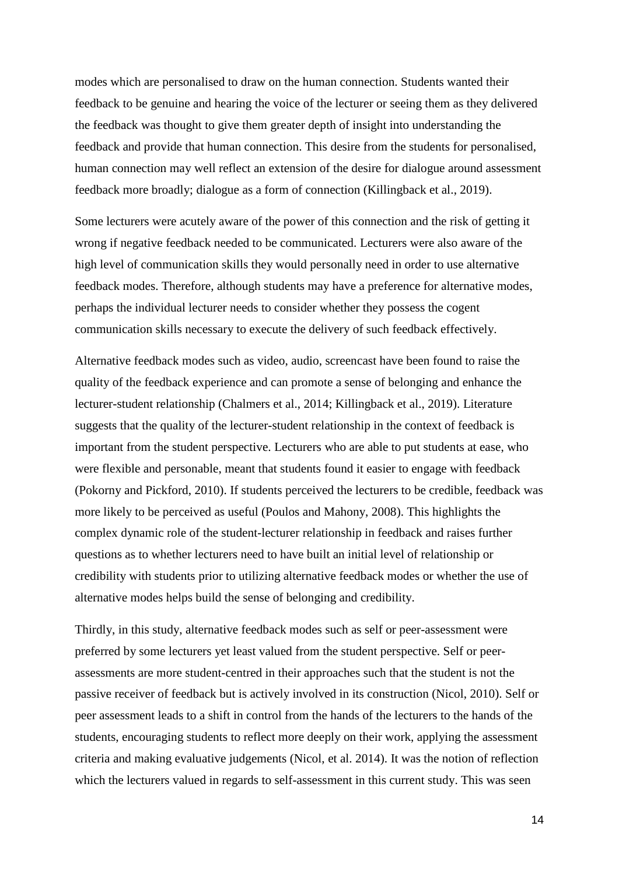modes which are personalised to draw on the human connection. Students wanted their feedback to be genuine and hearing the voice of the lecturer or seeing them as they delivered the feedback was thought to give them greater depth of insight into understanding the feedback and provide that human connection. This desire from the students for personalised, human connection may well reflect an extension of the desire for dialogue around assessment feedback more broadly; dialogue as a form of connection (Killingback et al., 2019).

Some lecturers were acutely aware of the power of this connection and the risk of getting it wrong if negative feedback needed to be communicated. Lecturers were also aware of the high level of communication skills they would personally need in order to use alternative feedback modes. Therefore, although students may have a preference for alternative modes, perhaps the individual lecturer needs to consider whether they possess the cogent communication skills necessary to execute the delivery of such feedback effectively.

Alternative feedback modes such as video, audio, screencast have been found to raise the quality of the feedback experience and can promote a sense of belonging and enhance the lecturer-student relationship (Chalmers et al., 2014; Killingback et al., 2019). Literature suggests that the quality of the lecturer-student relationship in the context of feedback is important from the student perspective. Lecturers who are able to put students at ease, who were flexible and personable, meant that students found it easier to engage with feedback (Pokorny and Pickford, 2010). If students perceived the lecturers to be credible, feedback was more likely to be perceived as useful (Poulos and Mahony, 2008). This highlights the complex dynamic role of the student-lecturer relationship in feedback and raises further questions as to whether lecturers need to have built an initial level of relationship or credibility with students prior to utilizing alternative feedback modes or whether the use of alternative modes helps build the sense of belonging and credibility.

Thirdly, in this study, alternative feedback modes such as self or peer-assessment were preferred by some lecturers yet least valued from the student perspective. Self or peerassessments are more student-centred in their approaches such that the student is not the passive receiver of feedback but is actively involved in its construction (Nicol, 2010). Self or peer assessment leads to a shift in control from the hands of the lecturers to the hands of the students, encouraging students to reflect more deeply on their work, applying the assessment criteria and making evaluative judgements (Nicol, et al. 2014). It was the notion of reflection which the lecturers valued in regards to self-assessment in this current study. This was seen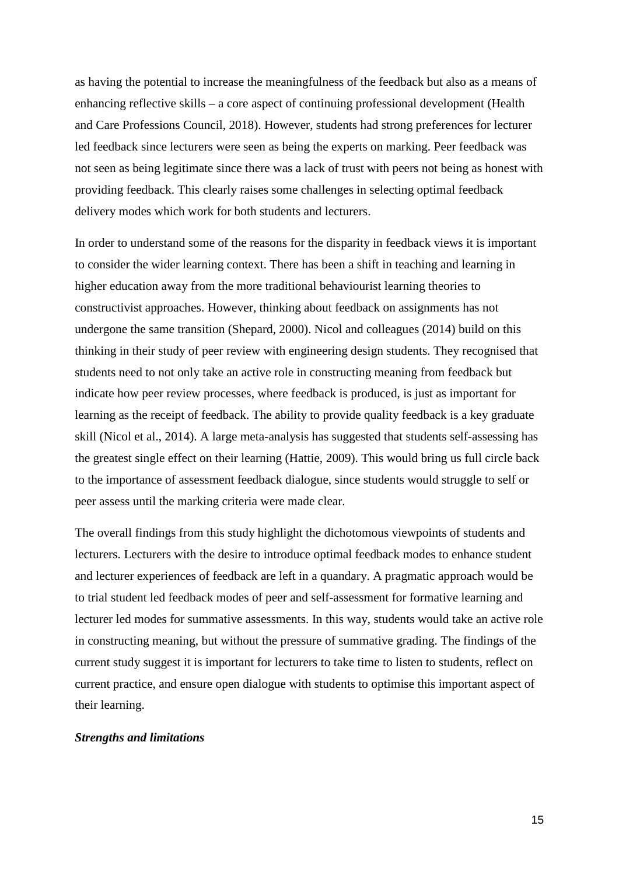as having the potential to increase the meaningfulness of the feedback but also as a means of enhancing reflective skills – a core aspect of continuing professional development (Health and Care Professions Council, 2018). However, students had strong preferences for lecturer led feedback since lecturers were seen as being the experts on marking. Peer feedback was not seen as being legitimate since there was a lack of trust with peers not being as honest with providing feedback. This clearly raises some challenges in selecting optimal feedback delivery modes which work for both students and lecturers.

In order to understand some of the reasons for the disparity in feedback views it is important to consider the wider learning context. There has been a shift in teaching and learning in higher education away from the more traditional behaviourist learning theories to constructivist approaches. However, thinking about feedback on assignments has not undergone the same transition (Shepard, 2000). Nicol and colleagues (2014) build on this thinking in their study of peer review with engineering design students. They recognised that students need to not only take an active role in constructing meaning from feedback but indicate how peer review processes, where feedback is produced, is just as important for learning as the receipt of feedback. The ability to provide quality feedback is a key graduate skill (Nicol et al., 2014). A large meta-analysis has suggested that students self-assessing has the greatest single effect on their learning (Hattie, 2009). This would bring us full circle back to the importance of assessment feedback dialogue, since students would struggle to self or peer assess until the marking criteria were made clear.

The overall findings from this study highlight the dichotomous viewpoints of students and lecturers. Lecturers with the desire to introduce optimal feedback modes to enhance student and lecturer experiences of feedback are left in a quandary. A pragmatic approach would be to trial student led feedback modes of peer and self-assessment for formative learning and lecturer led modes for summative assessments. In this way, students would take an active role in constructing meaning, but without the pressure of summative grading. The findings of the current study suggest it is important for lecturers to take time to listen to students, reflect on current practice, and ensure open dialogue with students to optimise this important aspect of their learning.

### *Strengths and limitations*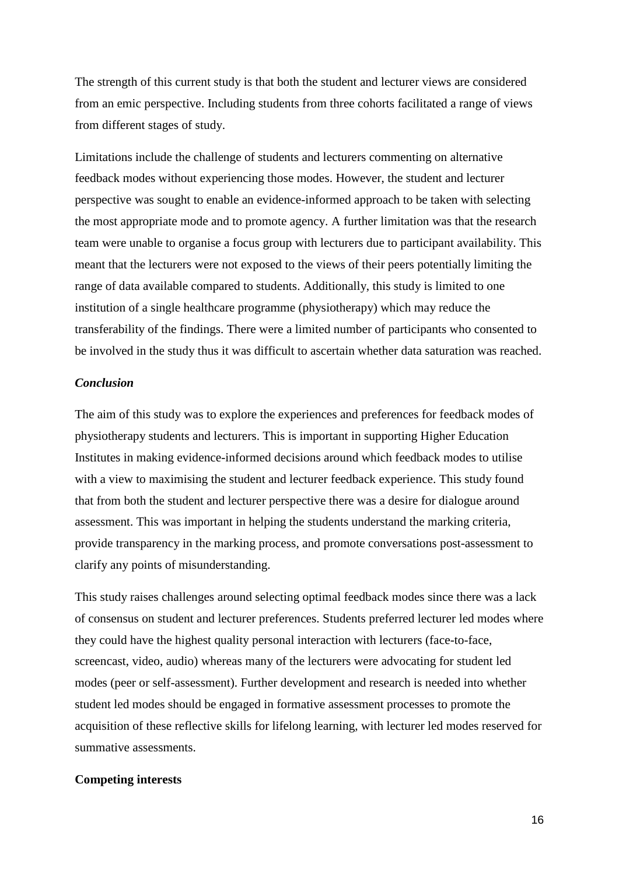The strength of this current study is that both the student and lecturer views are considered from an emic perspective. Including students from three cohorts facilitated a range of views from different stages of study.

Limitations include the challenge of students and lecturers commenting on alternative feedback modes without experiencing those modes. However, the student and lecturer perspective was sought to enable an evidence-informed approach to be taken with selecting the most appropriate mode and to promote agency. A further limitation was that the research team were unable to organise a focus group with lecturers due to participant availability. This meant that the lecturers were not exposed to the views of their peers potentially limiting the range of data available compared to students. Additionally, this study is limited to one institution of a single healthcare programme (physiotherapy) which may reduce the transferability of the findings. There were a limited number of participants who consented to be involved in the study thus it was difficult to ascertain whether data saturation was reached.

## *Conclusion*

The aim of this study was to explore the experiences and preferences for feedback modes of physiotherapy students and lecturers. This is important in supporting Higher Education Institutes in making evidence-informed decisions around which feedback modes to utilise with a view to maximising the student and lecturer feedback experience. This study found that from both the student and lecturer perspective there was a desire for dialogue around assessment. This was important in helping the students understand the marking criteria, provide transparency in the marking process, and promote conversations post-assessment to clarify any points of misunderstanding.

This study raises challenges around selecting optimal feedback modes since there was a lack of consensus on student and lecturer preferences. Students preferred lecturer led modes where they could have the highest quality personal interaction with lecturers (face-to-face, screencast, video, audio) whereas many of the lecturers were advocating for student led modes (peer or self-assessment). Further development and research is needed into whether student led modes should be engaged in formative assessment processes to promote the acquisition of these reflective skills for lifelong learning, with lecturer led modes reserved for summative assessments.

#### **Competing interests**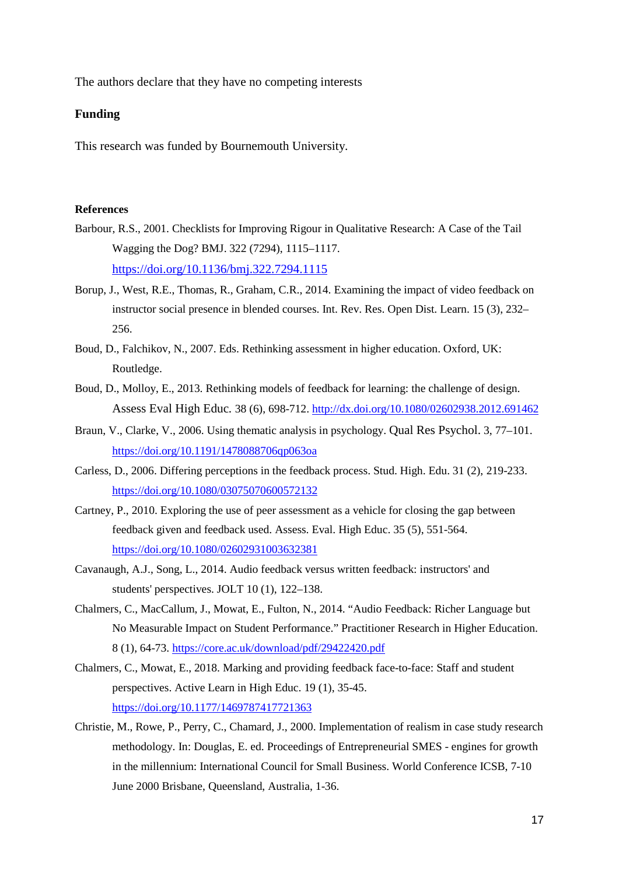The authors declare that they have no competing interests

## **Funding**

This research was funded by Bournemouth University.

#### **References**

- Barbour, R.S., 2001. Checklists for Improving Rigour in Qualitative Research: A Case of the Tail Wagging the Dog? BMJ. 322 (7294), 1115–1117. <https://doi.org/10.1136/bmj.322.7294.1115>
- Borup, J., West, R.E., Thomas, R., Graham, C.R., 2014. Examining the impact of video feedback on instructor social presence in blended courses. Int. Rev. Res. Open Dist. Learn. 15 (3), 232– 256.
- Boud, D., Falchikov, N., 2007. Eds. Rethinking assessment in higher education. Oxford, UK: Routledge.
- Boud, D., Molloy, E., 2013. Rethinking models of feedback for learning: the challenge of design. Assess Eval High Educ*.* 38 (6), 698-712.<http://dx.doi.org/10.1080/02602938.2012.691462>
- Braun, V., Clarke, V., 2006. Using thematic analysis in psychology. Qual Res Psychol. 3, 77–101. <https://doi.org/10.1191/1478088706qp063oa>
- Carless, D., 2006. Differing perceptions in the feedback process. Stud. High. Edu. 31 (2), 219-233. <https://doi.org/10.1080/03075070600572132>
- Cartney, P., 2010. Exploring the use of peer assessment as a vehicle for closing the gap between feedback given and feedback used. Assess. Eval. High Educ. 35 (5), 551-564. <https://doi.org/10.1080/02602931003632381>
- Cavanaugh, A.J., Song, L., 2014. Audio feedback versus written feedback: instructors' and students' perspectives. JOLT 10 (1), 122–138.
- Chalmers, C., MacCallum, J., Mowat, E., Fulton, N., 2014. "Audio Feedback: Richer Language but No Measurable Impact on Student Performance." Practitioner Research in Higher Education. 8 (1), 64-73. <https://core.ac.uk/download/pdf/29422420.pdf>
- Chalmers, C., Mowat, E., 2018. Marking and providing feedback face-to-face: Staff and student perspectives. Active Learn in High Educ. 19 (1), 35-45. <https://doi.org/10.1177/1469787417721363>
- Christie, M., Rowe, P., Perry, C., Chamard, J., 2000. Implementation of realism in case study research methodology. In: Douglas, E. ed. Proceedings of Entrepreneurial SMES - engines for growth in the millennium: International Council for Small Business. World Conference ICSB, 7-10 June 2000 Brisbane, Queensland, Australia, 1-36.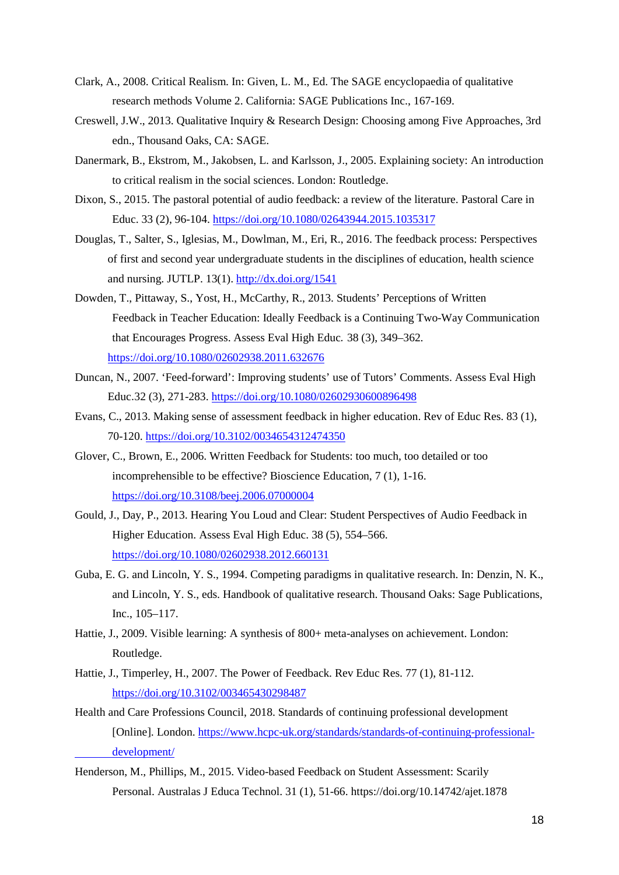- Clark, A., 2008. Critical Realism. In: Given, L. M., Ed. The SAGE encyclopaedia of qualitative research methods Volume 2. California: SAGE Publications Inc., 167-169.
- Creswell, J.W., 2013. Qualitative Inquiry & Research Design: Choosing among Five Approaches, 3rd edn., Thousand Oaks, CA: SAGE.
- Danermark, B., Ekstrom, M., Jakobsen, L. and Karlsson, J., 2005. Explaining society: An introduction to critical realism in the social sciences. London: Routledge.
- Dixon, S., 2015. The pastoral potential of audio feedback: a review of the literature. Pastoral Care in Educ. 33 (2), 96-104.<https://doi.org/10.1080/02643944.2015.1035317>
- Douglas, T., Salter, S., Iglesias, M., Dowlman, M., Eri, R., 2016. The feedback process: Perspectives of first and second year undergraduate students in the disciplines of education, health science and nursing. JUTLP. 13(1). <http://dx.doi.org/1541>
- Dowden, T., Pittaway, S., Yost, H., McCarthy, R., 2013. Students' Perceptions of Written Feedback in Teacher Education: Ideally Feedback is a Continuing Two-Way Communication that Encourages Progress. Assess Eval High Educ*.* 38 (3), 349–362. <https://doi.org/10.1080/02602938.2011.632676>
- Duncan, N., 2007. 'Feed-forward': Improving students' use of Tutors' Comments. Assess Eval High Educ.32 (3), 271-283.<https://doi.org/10.1080/02602930600896498>
- Evans, C., 2013. Making sense of assessment feedback in higher education. Rev of Educ Res. 83 (1), 70-120.<https://doi.org/10.3102/0034654312474350>
- Glover, C., Brown, E., 2006. Written Feedback for Students: too much, too detailed or too incomprehensible to be effective? Bioscience Education, 7 (1), 1-16. <https://doi.org/10.3108/beej.2006.07000004>
- Gould, J., Day, P., 2013. Hearing You Loud and Clear: Student Perspectives of Audio Feedback in Higher Education. Assess Eval High Educ. 38 (5), 554–566. <https://doi.org/10.1080/02602938.2012.660131>
- Guba, E. G. and Lincoln, Y. S., 1994. Competing paradigms in qualitative research. In: Denzin, N. K., and Lincoln, Y. S., eds. Handbook of qualitative research. Thousand Oaks: Sage Publications, Inc., 105–117.
- Hattie, J., 2009. Visible learning: A synthesis of 800+ meta-analyses on achievement. London: Routledge.
- Hattie, J., Timperley, H., 2007. The Power of Feedback. Rev Educ Res. 77 (1), 81-112. <https://doi.org/10.3102/003465430298487>
- Health and Care Professions Council, 2018. Standards of continuing professional development [Online]. London. [https://www.hcpc-uk.org/standards/standards-of-continuing-professional](https://www.hcpc-uk.org/standards/standards-of-continuing-professional-%09development/)[development/](https://www.hcpc-uk.org/standards/standards-of-continuing-professional-%09development/)
- Henderson, M., Phillips, M., 2015. Video-based Feedback on Student Assessment: Scarily Personal. Australas J Educa Technol. 31 (1), 51-66. https://doi.org/10.14742/ajet.1878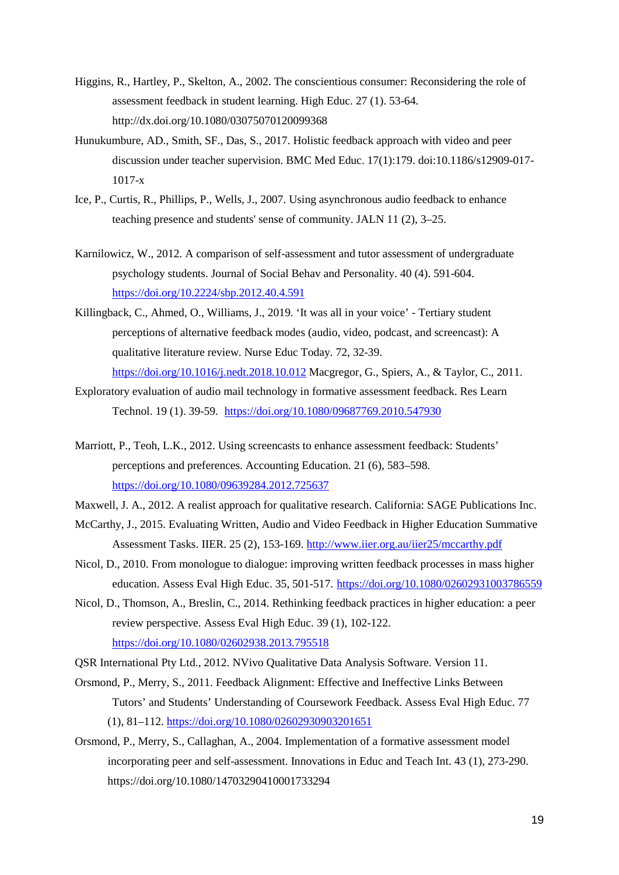- Higgins, R., Hartley, P., Skelton, A., 2002. The conscientious consumer: Reconsidering the role of assessment feedback in student learning. High Educ. 27 (1). 53-64. http://dx.doi.org/10.1080/03075070120099368
- Hunukumbure, AD., Smith, SF., Das, S., 2017. Holistic feedback approach with video and peer discussion under teacher supervision. BMC Med Educ. 17(1):179. doi:10.1186/s12909-017- 1017-x
- Ice, P., Curtis, R., Phillips, P., Wells, J., 2007. Using asynchronous audio feedback to enhance teaching presence and students' sense of community. JALN 11 (2), 3–25.
- Karnilowicz, W., 2012. A comparison of self-assessment and tutor assessment of undergraduate psychology students. Journal of Social Behav and Personality. 40 (4). 591-604. <https://doi.org/10.2224/sbp.2012.40.4.591>
- Killingback, C., Ahmed, O., Williams, J., 2019. 'It was all in your voice' Tertiary student perceptions of alternative feedback modes (audio, video, podcast, and screencast): A qualitative literature review. Nurse Educ Today. 72, 32-39. <https://doi.org/10.1016/j.nedt.2018.10.012> Macgregor, G., Spiers, A., & Taylor, C., 2011.
- Exploratory evaluation of audio mail technology in formative assessment feedback. Res Learn Technol. 19 (1). 39-59. <https://doi.org/10.1080/09687769.2010.547930>
- Marriott, P., Teoh, L.K., 2012. Using screencasts to enhance assessment feedback: Students' perceptions and preferences. Accounting Education. 21 (6), 583–598. <https://doi.org/10.1080/09639284.2012.725637>
- Maxwell, J. A., 2012. A realist approach for qualitative research. California: SAGE Publications Inc.
- McCarthy, J., 2015. Evaluating Written, Audio and Video Feedback in Higher Education Summative Assessment Tasks. IIER. 25 (2), 153-169.<http://www.iier.org.au/iier25/mccarthy.pdf>
- Nicol, D., 2010. From monologue to dialogue: improving written feedback processes in mass higher education. Assess Eval High Educ. 35, 501-517. <https://doi.org/10.1080/02602931003786559>
- Nicol, D., Thomson, A., Breslin, C., 2014. Rethinking feedback practices in higher education: a peer review perspective. Assess Eval High Educ. 39 (1), 102-122. <https://doi.org/10.1080/02602938.2013.795518>
- QSR International Pty Ltd., 2012. NVivo Qualitative Data Analysis Software. Version 11.
- Orsmond, P., Merry, S., 2011. Feedback Alignment: Effective and Ineffective Links Between Tutors' and Students' Understanding of Coursework Feedback. Assess Eval High Educ. 77 (1), 81–112.<https://doi.org/10.1080/02602930903201651>
- Orsmond, P., Merry, S., Callaghan, A., 2004. Implementation of a formative assessment model incorporating peer and self-assessment. Innovations in Educ and Teach Int. 43 (1), 273-290. https://doi.org/10.1080/14703290410001733294